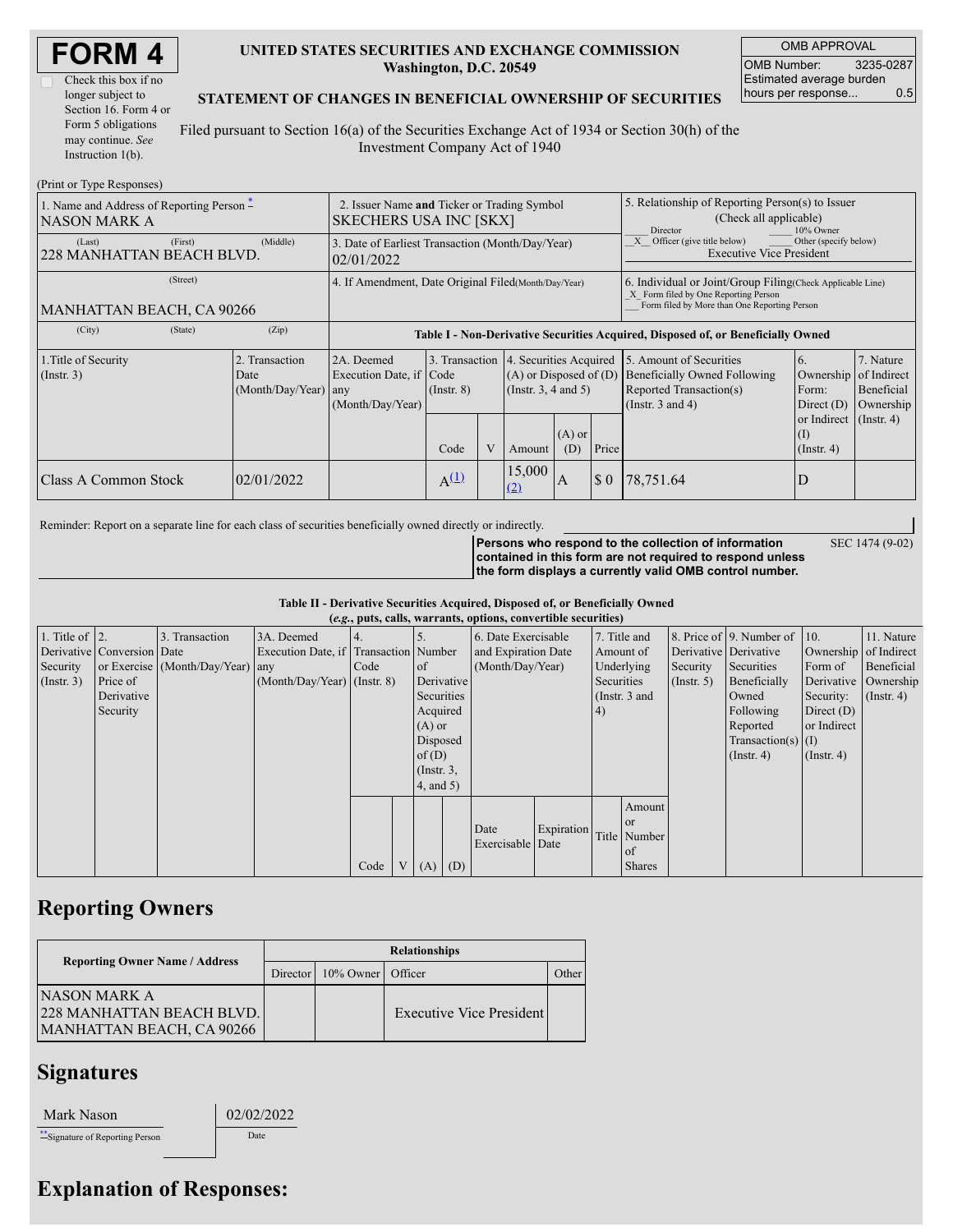| <b>FORM4</b> |  |
|--------------|--|
|--------------|--|

| Check this box if no  |  |  |  |  |  |
|-----------------------|--|--|--|--|--|
| longer subject to     |  |  |  |  |  |
| Section 16. Form 4 or |  |  |  |  |  |
| Form 5 obligations    |  |  |  |  |  |
| may continue. See     |  |  |  |  |  |
| Instruction $1(b)$ .  |  |  |  |  |  |

### **UNITED STATES SECURITIES AND EXCHANGE COMMISSION Washington, D.C. 20549**

OMB APPROVAL OMB Number: 3235-0287 Estimated average burden hours per response... 0.5

SEC 1474 (9-02)

#### **STATEMENT OF CHANGES IN BENEFICIAL OWNERSHIP OF SECURITIES**

Filed pursuant to Section 16(a) of the Securities Exchange Act of 1934 or Section 30(h) of the Investment Company Act of 1940

| (Print or Type Responses)                                                |                                                                              |                                                |                                                                                  |                                 |   |                                                                                                                                                    |                                                                                                       |          |                                                                                                             |                                                         |                                      |  |
|--------------------------------------------------------------------------|------------------------------------------------------------------------------|------------------------------------------------|----------------------------------------------------------------------------------|---------------------------------|---|----------------------------------------------------------------------------------------------------------------------------------------------------|-------------------------------------------------------------------------------------------------------|----------|-------------------------------------------------------------------------------------------------------------|---------------------------------------------------------|--------------------------------------|--|
| 1. Name and Address of Reporting Person $\hat{-}$<br><b>NASON MARK A</b> | 2. Issuer Name and Ticker or Trading Symbol<br><b>SKECHERS USA INC [SKX]</b> |                                                |                                                                                  |                                 |   | 5. Relationship of Reporting Person(s) to Issuer<br>(Check all applicable)<br>Director<br>10% Owner                                                |                                                                                                       |          |                                                                                                             |                                                         |                                      |  |
| (Last)<br>228 MANHATTAN BEACH BLVD.                                      | 3. Date of Earliest Transaction (Month/Day/Year)<br>02/01/2022               |                                                |                                                                                  |                                 |   |                                                                                                                                                    | $\overline{X}$ Officer (give title below)<br>Other (specify below)<br><b>Executive Vice President</b> |          |                                                                                                             |                                                         |                                      |  |
| MANHATTAN BEACH, CA 90266                                                | 4. If Amendment, Date Original Filed (Month/Day/Year)                        |                                                |                                                                                  |                                 |   | 6. Individual or Joint/Group Filing Check Applicable Line)<br>X Form filed by One Reporting Person<br>Form filed by More than One Reporting Person |                                                                                                       |          |                                                                                                             |                                                         |                                      |  |
| (City)                                                                   | (State)                                                                      | (Zip)                                          | Table I - Non-Derivative Securities Acquired, Disposed of, or Beneficially Owned |                                 |   |                                                                                                                                                    |                                                                                                       |          |                                                                                                             |                                                         |                                      |  |
| 1. Title of Security<br>$($ Instr. 3 $)$                                 |                                                                              | 2. Transaction<br>Date<br>(Month/Day/Year) any | 2A. Deemed<br>Execution Date, if Code<br>(Month/Day/Year)                        | 3. Transaction<br>$($ Instr. 8) |   | 4. Securities Acquired<br>$(A)$ or Disposed of $(D)$<br>$($ Instr. 3, 4 and 5 $)$                                                                  |                                                                                                       |          | 5. Amount of Securities<br>Beneficially Owned Following<br>Reported Transaction(s)<br>(Instr. $3$ and $4$ ) | 6.<br>Ownership of Indirect<br>Form:<br>Direct $(D)$    | 7. Nature<br>Beneficial<br>Ownership |  |
|                                                                          |                                                                              |                                                |                                                                                  | Code                            | V | Amount                                                                                                                                             | $(A)$ or<br>(D)                                                                                       | Price    |                                                                                                             | or Indirect $($ Instr. 4 $)$<br>(I)<br>$($ Instr. 4 $)$ |                                      |  |
| Class A Common Stock                                                     |                                                                              | 02/01/2022                                     |                                                                                  | $A^{(\underline{1})}$           |   | 15,000<br><u>(2)</u>                                                                                                                               | A                                                                                                     | $\Omega$ | 78,751.64                                                                                                   |                                                         |                                      |  |

Reminder: Report on a separate line for each class of securities beneficially owned directly or indirectly.

**Persons who respond to the collection of information contained in this form are not required to respond unless the form displays a currently valid OMB control number.**

**Table II - Derivative Securities Acquired, Disposed of, or Beneficially Owned**

|                    | (e.g., puts, calls, warrants, options, convertible securities) |                                  |                                       |      |   |                 |     |                  |                                  |                 |               |                       |                          |                       |                      |
|--------------------|----------------------------------------------------------------|----------------------------------|---------------------------------------|------|---|-----------------|-----|------------------|----------------------------------|-----------------|---------------|-----------------------|--------------------------|-----------------------|----------------------|
| 1. Title of $ 2$ . |                                                                | 3. Transaction                   | 3A. Deemed                            |      |   |                 |     |                  | 6. Date Exercisable              |                 | 7. Title and  |                       | 8. Price of 9. Number of | 10.                   | 11. Nature           |
|                    | Derivative Conversion Date                                     |                                  | Execution Date, if Transaction Number |      |   |                 |     |                  | and Expiration Date<br>Amount of |                 |               | Derivative Derivative |                          | Ownership of Indirect |                      |
| Security           |                                                                | or Exercise (Month/Day/Year) any |                                       | Code |   | <b>of</b>       |     | (Month/Day/Year) |                                  | Underlying      |               | Security              | Securities               | Form of               | Beneficial           |
| $($ Instr. 3 $)$   | Price of                                                       |                                  | $(Month/Dav/Year)$ (Instr. 8)         |      |   | Derivative      |     |                  |                                  | Securities      |               | $($ Instr. 5)         | Beneficially             |                       | Derivative Ownership |
|                    | Derivative                                                     |                                  |                                       |      |   | Securities      |     |                  |                                  | (Instr. $3$ and |               |                       | Owned                    | Security:             | $($ Instr. 4)        |
|                    | Security                                                       |                                  |                                       |      |   | Acquired        |     |                  |                                  | (4)             |               |                       | Following                | Direct $(D)$          |                      |
|                    |                                                                |                                  |                                       |      |   | $(A)$ or        |     |                  |                                  |                 | Reported      | or Indirect           |                          |                       |                      |
|                    |                                                                |                                  |                                       |      |   | Disposed        |     |                  |                                  |                 |               |                       | Transaction(s) $(I)$     |                       |                      |
|                    |                                                                |                                  |                                       |      |   | of $(D)$        |     |                  |                                  |                 |               |                       | $($ Instr. 4 $)$         | $($ Instr. 4 $)$      |                      |
|                    |                                                                |                                  |                                       |      |   | $($ Instr. $3,$ |     |                  |                                  |                 |               |                       |                          |                       |                      |
|                    |                                                                |                                  |                                       |      |   | $4$ , and $5$ ) |     |                  |                                  |                 |               |                       |                          |                       |                      |
|                    |                                                                |                                  |                                       |      |   |                 |     |                  |                                  |                 | Amount        |                       |                          |                       |                      |
|                    |                                                                |                                  |                                       |      |   |                 |     |                  |                                  |                 | <b>or</b>     |                       |                          |                       |                      |
|                    |                                                                |                                  |                                       |      |   |                 |     | Date             | Expiration                       |                 | Title Number  |                       |                          |                       |                      |
|                    |                                                                |                                  |                                       |      |   |                 |     | Exercisable Date |                                  |                 | of            |                       |                          |                       |                      |
|                    |                                                                |                                  |                                       | Code | V | (A)             | (D) |                  |                                  |                 | <b>Shares</b> |                       |                          |                       |                      |

## **Reporting Owners**

|                                                                                | <b>Relationships</b> |                   |                          |       |  |  |  |  |
|--------------------------------------------------------------------------------|----------------------|-------------------|--------------------------|-------|--|--|--|--|
| <b>Reporting Owner Name / Address</b>                                          | Director             | 10% Owner Officer |                          | )ther |  |  |  |  |
| INASON MARK A<br><b>228 MANHATTAN BEACH BLVD.</b><br>MANHATTAN BEACH, CA 90266 |                      |                   | Executive Vice President |       |  |  |  |  |

# **Signatures**

| Mark Nason |
|------------|
|            |

02/02/2022 \*\*Signature of Reporting Person Date

### **Explanation of Responses:**